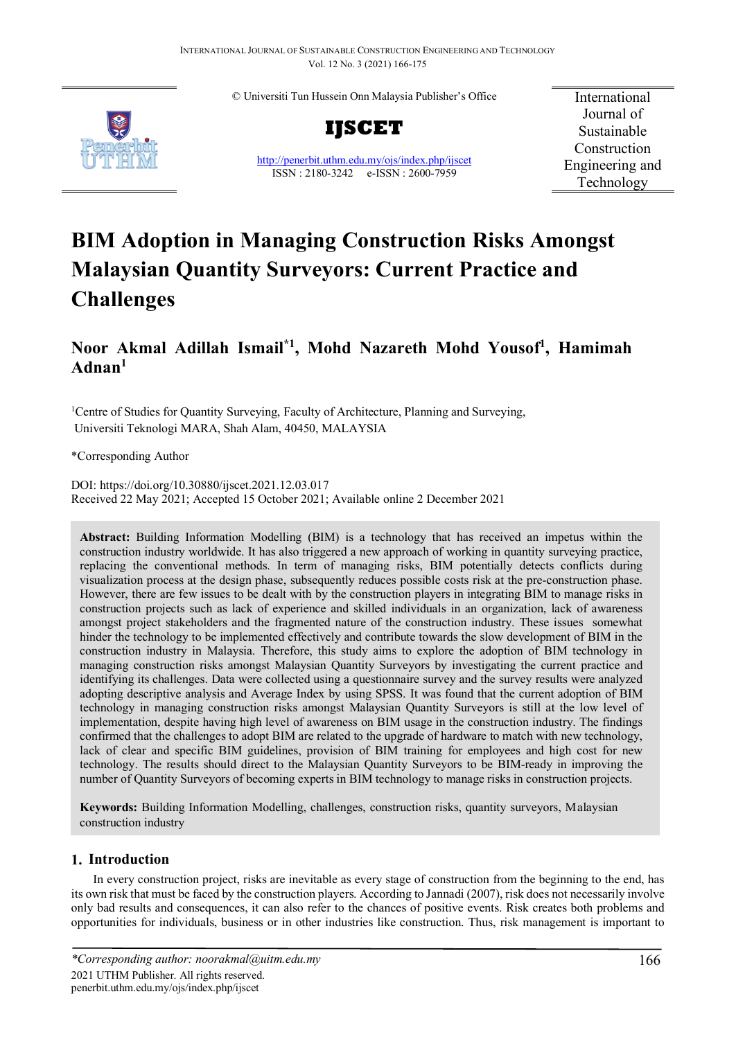© Universiti Tun Hussein Onn Malaysia Publisher's Office



**IJSCET**

<http://penerbit.uthm.edu.my/ojs/index.php/ijscet> ISSN : 2180-3242 e-ISSN : 2600-7959

International Journal of Sustainable Construction Engineering and Technology

# **BIM Adoption in Managing Construction Risks Amongst Malaysian Quantity Surveyors: Current Practice and Challenges**

## **Noor Akmal Adillah Ismail\*1 , Mohd Nazareth Mohd Yousof1 , Hamimah Adnan1**

<sup>1</sup>Centre of Studies for Quantity Surveying, Faculty of Architecture, Planning and Surveying, Universiti Teknologi MARA, Shah Alam, 40450, MALAYSIA

\*Corresponding Author

DOI: https://doi.org/10.30880/ijscet.2021.12.03.017 Received 22 May 2021; Accepted 15 October 2021; Available online 2 December 2021

**Abstract:** Building Information Modelling (BIM) is a technology that has received an impetus within the construction industry worldwide. It has also triggered a new approach of working in quantity surveying practice, replacing the conventional methods. In term of managing risks, BIM potentially detects conflicts during visualization process at the design phase, subsequently reduces possible costs risk at the pre-construction phase. However, there are few issues to be dealt with by the construction players in integrating BIM to manage risks in construction projects such as lack of experience and skilled individuals in an organization, lack of awareness amongst project stakeholders and the fragmented nature of the construction industry. These issues somewhat hinder the technology to be implemented effectively and contribute towards the slow development of BIM in the construction industry in Malaysia. Therefore, this study aims to explore the adoption of BIM technology in managing construction risks amongst Malaysian Quantity Surveyors by investigating the current practice and identifying its challenges. Data were collected using a questionnaire survey and the survey results were analyzed adopting descriptive analysis and Average Index by using SPSS. It was found that the current adoption of BIM technology in managing construction risks amongst Malaysian Quantity Surveyors is still at the low level of implementation, despite having high level of awareness on BIM usage in the construction industry. The findings confirmed that the challenges to adopt BIM are related to the upgrade of hardware to match with new technology, lack of clear and specific BIM guidelines, provision of BIM training for employees and high cost for new technology. The results should direct to the Malaysian Quantity Surveyors to be BIM-ready in improving the number of Quantity Surveyors of becoming experts in BIM technology to manage risks in construction projects.

**Keywords:** Building Information Modelling, challenges, construction risks, quantity surveyors, Malaysian construction industry

## **1. Introduction**

In every construction project, risks are inevitable as every stage of construction from the beginning to the end, has its own risk that must be faced by the construction players. According to Jannadi (2007), risk does not necessarily involve only bad results and consequences, it can also refer to the chances of positive events. Risk creates both problems and opportunities for individuals, business or in other industries like construction. Thus, risk management is important to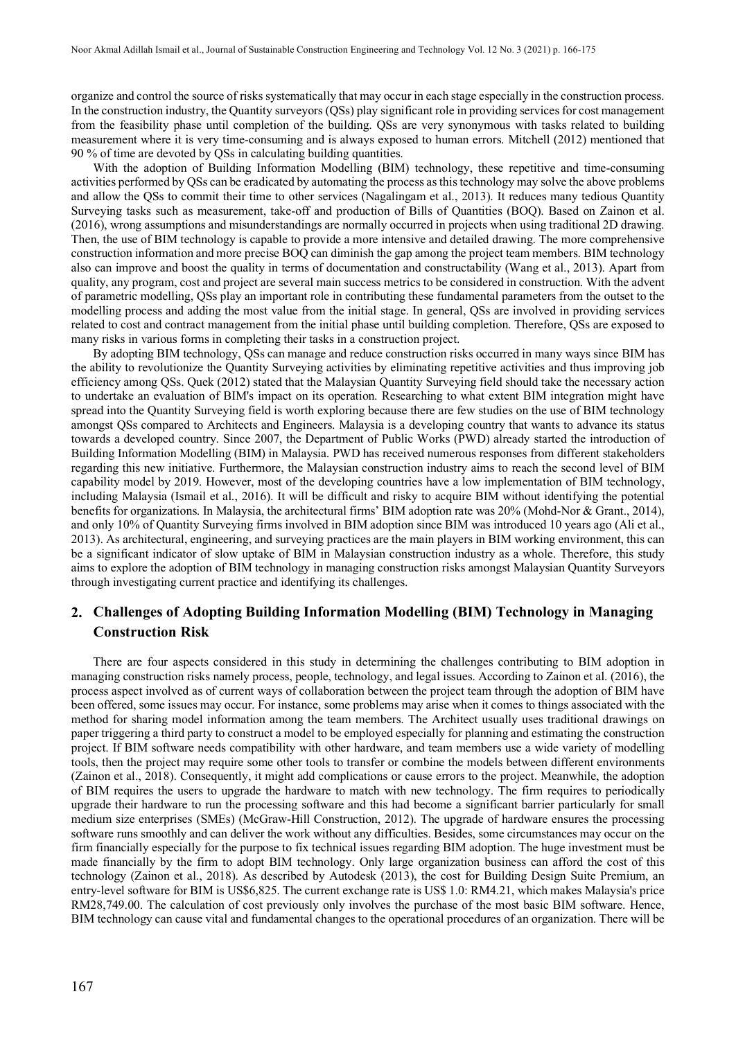organize and control the source of risks systematically that may occur in each stage especially in the construction process. In the construction industry, the Quantity surveyors (QSs) play significant role in providing services for cost management from the feasibility phase until completion of the building. QSs are very synonymous with tasks related to building measurement where it is very time-consuming and is always exposed to human errors. Mitchell (2012) mentioned that 90 % of time are devoted by QSs in calculating building quantities.

With the adoption of Building Information Modelling (BIM) technology, these repetitive and time-consuming activities performed by QSs can be eradicated by automating the process as this technology may solve the above problems and allow the QSs to commit their time to other services (Nagalingam et al., 2013). It reduces many tedious Quantity Surveying tasks such as measurement, take-off and production of Bills of Quantities (BOQ). Based on Zainon et al. (2016), wrong assumptions and misunderstandings are normally occurred in projects when using traditional 2D drawing. Then, the use of BIM technology is capable to provide a more intensive and detailed drawing. The more comprehensive construction information and more precise BOQ can diminish the gap among the project team members. BIM technology also can improve and boost the quality in terms of documentation and constructability (Wang et al., 2013). Apart from quality, any program, cost and project are several main success metrics to be considered in construction. With the advent of parametric modelling, QSs play an important role in contributing these fundamental parameters from the outset to the modelling process and adding the most value from the initial stage. In general, QSs are involved in providing services related to cost and contract management from the initial phase until building completion. Therefore, QSs are exposed to many risks in various forms in completing their tasks in a construction project.

By adopting BIM technology, QSs can manage and reduce construction risks occurred in many ways since BIM has the ability to revolutionize the Quantity Surveying activities by eliminating repetitive activities and thus improving job efficiency among QSs. Quek (2012) stated that the Malaysian Quantity Surveying field should take the necessary action to undertake an evaluation of BIM's impact on its operation. Researching to what extent BIM integration might have spread into the Quantity Surveying field is worth exploring because there are few studies on the use of BIM technology amongst QSs compared to Architects and Engineers. Malaysia is a developing country that wants to advance its status towards a developed country. Since 2007, the Department of Public Works (PWD) already started the introduction of Building Information Modelling (BIM) in Malaysia. PWD has received numerous responses from different stakeholders regarding this new initiative. Furthermore, the Malaysian construction industry aims to reach the second level of BIM capability model by 2019. However, most of the developing countries have a low implementation of BIM technology, including Malaysia (Ismail et al., 2016). It will be difficult and risky to acquire BIM without identifying the potential benefits for organizations. In Malaysia, the architectural firms' BIM adoption rate was 20% (Mohd-Nor & Grant., 2014), and only 10% of Quantity Surveying firms involved in BIM adoption since BIM was introduced 10 years ago (Ali et al., 2013). As architectural, engineering, and surveying practices are the main players in BIM working environment, this can be a significant indicator of slow uptake of BIM in Malaysian construction industry as a whole. Therefore, this study aims to explore the adoption of BIM technology in managing construction risks amongst Malaysian Quantity Surveyors through investigating current practice and identifying its challenges.

## **2. Challenges of Adopting Building Information Modelling (BIM) Technology in Managing Construction Risk**

There are four aspects considered in this study in determining the challenges contributing to BIM adoption in managing construction risks namely process, people, technology, and legal issues. According to Zainon et al. (2016), the process aspect involved as of current ways of collaboration between the project team through the adoption of BIM have been offered, some issues may occur. For instance, some problems may arise when it comes to things associated with the method for sharing model information among the team members. The Architect usually uses traditional drawings on paper triggering a third party to construct a model to be employed especially for planning and estimating the construction project. If BIM software needs compatibility with other hardware, and team members use a wide variety of modelling tools, then the project may require some other tools to transfer or combine the models between different environments (Zainon et al., 2018). Consequently, it might add complications or cause errors to the project. Meanwhile, the adoption of BIM requires the users to upgrade the hardware to match with new technology. The firm requires to periodically upgrade their hardware to run the processing software and this had become a significant barrier particularly for small medium size enterprises (SMEs) (McGraw-Hill Construction, 2012). The upgrade of hardware ensures the processing software runs smoothly and can deliver the work without any difficulties. Besides, some circumstances may occur on the firm financially especially for the purpose to fix technical issues regarding BIM adoption. The huge investment must be made financially by the firm to adopt BIM technology. Only large organization business can afford the cost of this technology (Zainon et al., 2018). As described by Autodesk (2013), the cost for Building Design Suite Premium, an entry-level software for BIM is US\$6,825. The current exchange rate is US\$ 1.0: RM4.21, which makes Malaysia's price RM28,749.00. The calculation of cost previously only involves the purchase of the most basic BIM software. Hence, BIM technology can cause vital and fundamental changes to the operational procedures of an organization. There will be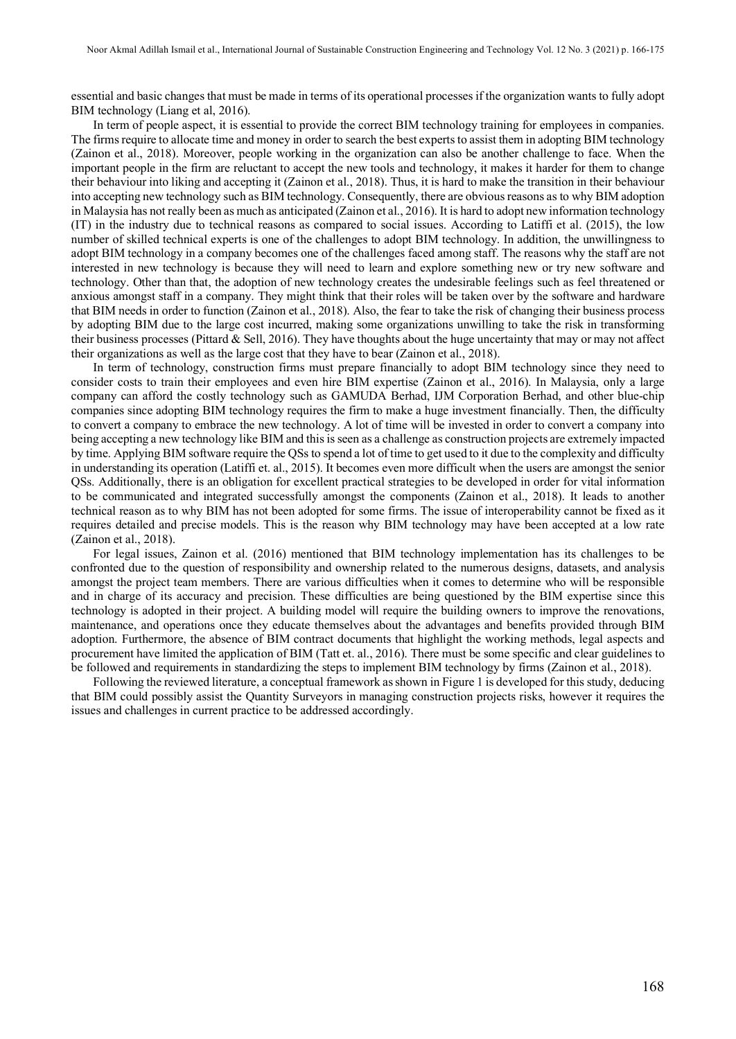essential and basic changes that must be made in terms of its operational processes if the organization wants to fully adopt BIM technology (Liang et al, 2016).

In term of people aspect, it is essential to provide the correct BIM technology training for employees in companies. The firms require to allocate time and money in order to search the best experts to assist them in adopting BIM technology (Zainon et al., 2018). Moreover, people working in the organization can also be another challenge to face. When the important people in the firm are reluctant to accept the new tools and technology, it makes it harder for them to change their behaviour into liking and accepting it (Zainon et al., 2018). Thus, it is hard to make the transition in their behaviour into accepting new technology such as BIM technology. Consequently, there are obvious reasons as to why BIM adoption in Malaysia has not really been as much as anticipated (Zainon et al., 2016). It is hard to adopt new information technology (IT) in the industry due to technical reasons as compared to social issues. According to Latiffi et al. (2015), the low number of skilled technical experts is one of the challenges to adopt BIM technology. In addition, the unwillingness to adopt BIM technology in a company becomes one of the challenges faced among staff. The reasons why the staff are not interested in new technology is because they will need to learn and explore something new or try new software and technology. Other than that, the adoption of new technology creates the undesirable feelings such as feel threatened or anxious amongst staff in a company. They might think that their roles will be taken over by the software and hardware that BIM needs in order to function (Zainon et al., 2018). Also, the fear to take the risk of changing their business process by adopting BIM due to the large cost incurred, making some organizations unwilling to take the risk in transforming their business processes (Pittard & Sell, 2016). They have thoughts about the huge uncertainty that may or may not affect their organizations as well as the large cost that they have to bear (Zainon et al., 2018).

In term of technology, construction firms must prepare financially to adopt BIM technology since they need to consider costs to train their employees and even hire BIM expertise (Zainon et al., 2016). In Malaysia, only a large company can afford the costly technology such as GAMUDA Berhad, IJM Corporation Berhad, and other blue-chip companies since adopting BIM technology requires the firm to make a huge investment financially. Then, the difficulty to convert a company to embrace the new technology. A lot of time will be invested in order to convert a company into being accepting a new technology like BIM and this is seen as a challenge as construction projects are extremely impacted by time. Applying BIM software require the QSs to spend a lot of time to get used to it due to the complexity and difficulty in understanding its operation (Latiffi et. al., 2015). It becomes even more difficult when the users are amongst the senior QSs. Additionally, there is an obligation for excellent practical strategies to be developed in order for vital information to be communicated and integrated successfully amongst the components (Zainon et al., 2018). It leads to another technical reason as to why BIM has not been adopted for some firms. The issue of interoperability cannot be fixed as it requires detailed and precise models. This is the reason why BIM technology may have been accepted at a low rate (Zainon et al., 2018).

For legal issues, Zainon et al. (2016) mentioned that BIM technology implementation has its challenges to be confronted due to the question of responsibility and ownership related to the numerous designs, datasets, and analysis amongst the project team members. There are various difficulties when it comes to determine who will be responsible and in charge of its accuracy and precision. These difficulties are being questioned by the BIM expertise since this technology is adopted in their project. A building model will require the building owners to improve the renovations, maintenance, and operations once they educate themselves about the advantages and benefits provided through BIM adoption. Furthermore, the absence of BIM contract documents that highlight the working methods, legal aspects and procurement have limited the application of BIM (Tatt et. al., 2016). There must be some specific and clear guidelines to be followed and requirements in standardizing the steps to implement BIM technology by firms (Zainon et al., 2018).

Following the reviewed literature, a conceptual framework as shown in Figure 1 is developed for this study, deducing that BIM could possibly assist the Quantity Surveyors in managing construction projects risks, however it requires the issues and challenges in current practice to be addressed accordingly.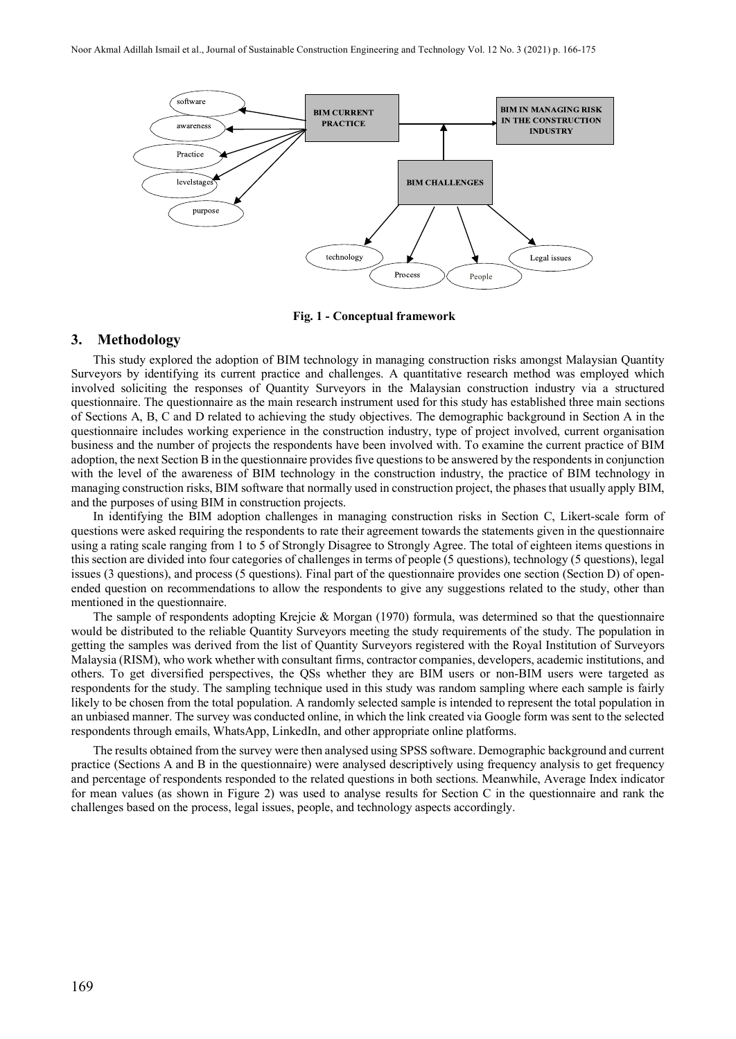

 **Fig. 1 - Conceptual framework**

#### **3. Methodology**

This study explored the adoption of BIM technology in managing construction risks amongst Malaysian Quantity Surveyors by identifying its current practice and challenges. A quantitative research method was employed which involved soliciting the responses of Quantity Surveyors in the Malaysian construction industry via a structured questionnaire. The questionnaire as the main research instrument used for this study has established three main sections of Sections A, B, C and D related to achieving the study objectives. The demographic background in Section A in the questionnaire includes working experience in the construction industry, type of project involved, current organisation business and the number of projects the respondents have been involved with. To examine the current practice of BIM adoption, the next Section B in the questionnaire provides five questions to be answered by the respondents in conjunction with the level of the awareness of BIM technology in the construction industry, the practice of BIM technology in managing construction risks, BIM software that normally used in construction project, the phases that usually apply BIM, and the purposes of using BIM in construction projects.

In identifying the BIM adoption challenges in managing construction risks in Section C, Likert-scale form of questions were asked requiring the respondents to rate their agreement towards the statements given in the questionnaire using a rating scale ranging from 1 to 5 of Strongly Disagree to Strongly Agree. The total of eighteen items questions in this section are divided into four categories of challenges in terms of people (5 questions), technology (5 questions), legal issues (3 questions), and process (5 questions). Final part of the questionnaire provides one section (Section D) of openended question on recommendations to allow the respondents to give any suggestions related to the study, other than mentioned in the questionnaire.

The sample of respondents adopting Krejcie & Morgan (1970) formula, was determined so that the questionnaire would be distributed to the reliable Quantity Surveyors meeting the study requirements of the study. The population in getting the samples was derived from the list of Quantity Surveyors registered with the Royal Institution of Surveyors Malaysia (RISM), who work whether with consultant firms, contractor companies, developers, academic institutions, and others. To get diversified perspectives, the QSs whether they are BIM users or non-BIM users were targeted as respondents for the study. The sampling technique used in this study was random sampling where each sample is fairly likely to be chosen from the total population. A randomly selected sample is intended to represent the total population in an unbiased manner. The survey was conducted online, in which the link created via Google form was sent to the selected respondents through emails, WhatsApp, LinkedIn, and other appropriate online platforms.

The results obtained from the survey were then analysed using SPSS software. Demographic background and current practice (Sections A and B in the questionnaire) were analysed descriptively using frequency analysis to get frequency and percentage of respondents responded to the related questions in both sections. Meanwhile, Average Index indicator for mean values (as shown in Figure 2) was used to analyse results for Section C in the questionnaire and rank the challenges based on the process, legal issues, people, and technology aspects accordingly.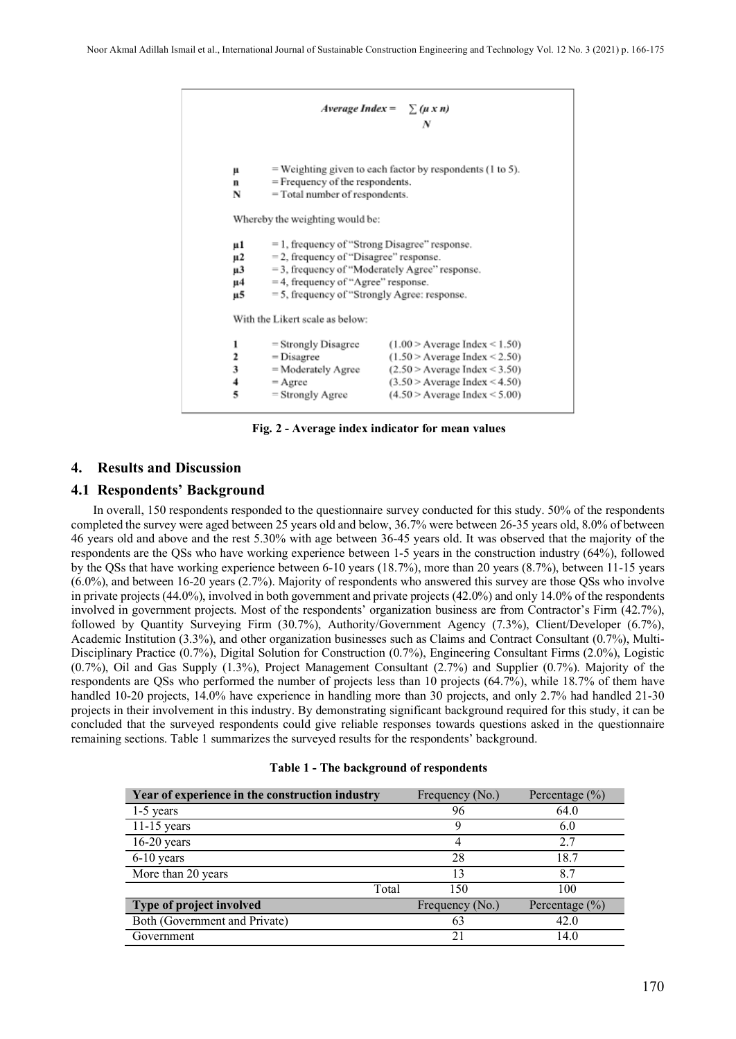```
Average Index =
                                           \sum (\mu x n)\boldsymbol{N}= Weighting given to each factor by respondents (1 to 5).
\mathbf{\mu}= Frequency of the respondents.
\mathbf{n}N
          = Total number of respondents.
Whereby the weighting would be:
         = 1, frequency of "Strong Disagree" response.
\mu1
\mu2
          = 2, frequency of "Disagree" response.
          = 3, frequency of "Moderately Agree" response.
\mu3
          =4, frequency of "Agree" response.
\mu<sub>4</sub>
          = 5, frequency of "Strongly Agree: response.
и5
With the Likert scale as below:
         = Strongly Disagree
                                       (1.00 > Average Index < 1.50)\mathbf{1}\overline{\mathbf{2}}= Disagree
                                       (1.50 > Average Index < 2.50)3
          = Moderately Agree
                                       (2.50 > Average Index < 3.50)
\overline{4}= Agree
                                       (3.50 > Average Index < 4.50)5
          = Strongly Agree
                                       (4.50 > Average Index < 5.00)
```
**Fig. 2 - Average index indicator for mean values**

#### **4. Results and Discussion**

#### **4.1 Respondents' Background**

In overall, 150 respondents responded to the questionnaire survey conducted for this study. 50% of the respondents completed the survey were aged between 25 years old and below, 36.7% were between 26-35 years old, 8.0% of between 46 years old and above and the rest 5.30% with age between 36-45 years old. It was observed that the majority of the respondents are the QSs who have working experience between 1-5 years in the construction industry (64%), followed by the QSs that have working experience between 6-10 years (18.7%), more than 20 years (8.7%), between 11-15 years (6.0%), and between 16-20 years (2.7%). Majority of respondents who answered this survey are those QSs who involve in private projects (44.0%), involved in both government and private projects (42.0%) and only 14.0% of the respondents involved in government projects. Most of the respondents' organization business are from Contractor's Firm (42.7%), followed by Quantity Surveying Firm (30.7%), Authority/Government Agency (7.3%), Client/Developer (6.7%), Academic Institution (3.3%), and other organization businesses such as Claims and Contract Consultant (0.7%), Multi-Disciplinary Practice (0.7%), Digital Solution for Construction (0.7%), Engineering Consultant Firms (2.0%), Logistic (0.7%), Oil and Gas Supply (1.3%), Project Management Consultant (2.7%) and Supplier (0.7%). Majority of the respondents are QSs who performed the number of projects less than 10 projects (64.7%), while 18.7% of them have handled 10-20 projects, 14.0% have experience in handling more than 30 projects, and only 2.7% had handled 21-30 projects in their involvement in this industry. By demonstrating significant background required for this study, it can be concluded that the surveyed respondents could give reliable responses towards questions asked in the questionnaire remaining sections. Table 1 summarizes the surveyed results for the respondents' background.

|  |  | Table 1 - The background of respondents |
|--|--|-----------------------------------------|
|--|--|-----------------------------------------|

| Year of experience in the construction industry | Frequency (No.) | Percentage $(\% )$ |
|-------------------------------------------------|-----------------|--------------------|
| $1-5$ years                                     | 96              | 64.0               |
| $11-15$ years                                   | 9               | 6.0                |
| $16-20$ years                                   | 4               | 2.7                |
| $6-10$ years                                    | 28              | 18.7               |
| More than 20 years                              | 13              | 8.7                |
| Total                                           | 150             | 100                |
| Type of project involved                        | Frequency (No.) | Percentage $(\% )$ |
| Both (Government and Private)                   | 63              | 42.0               |
| Government                                      | 21              | 14.0               |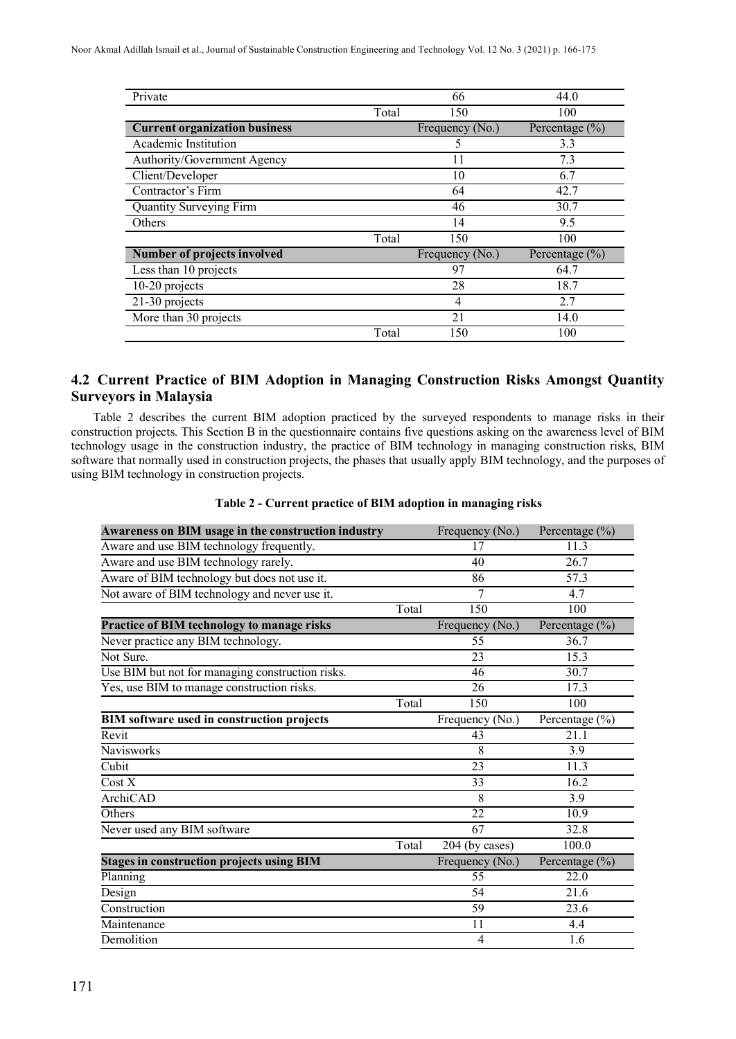| Private                              |       | 66              | 44.0               |
|--------------------------------------|-------|-----------------|--------------------|
|                                      | Total | 150             | 100                |
| <b>Current organization business</b> |       | Frequency (No.) | Percentage $(\% )$ |
| Academic Institution                 |       | 5               | 3.3                |
| Authority/Government Agency          |       | 11              | 7.3                |
| Client/Developer                     |       | 10              | 6.7                |
| Contractor's Firm                    |       | 64              | 42.7               |
| <b>Quantity Surveying Firm</b>       |       | 46              | 30.7               |
| Others                               |       | 14              | 9.5                |
|                                      | Total | 150             | 100                |
| <b>Number of projects involved</b>   |       | Frequency (No.) | Percentage $(\% )$ |
| Less than 10 projects                |       | 97              | 64.7               |
| 10-20 projects                       |       | 28              | 18.7               |
| 21-30 projects                       |       | 4               | 2.7                |
| More than 30 projects                |       | 21              | 14.0               |
|                                      | Total | 150             | 100                |

## **4.2 Current Practice of BIM Adoption in Managing Construction Risks Amongst Quantity Surveyors in Malaysia**

Table 2 describes the current BIM adoption practiced by the surveyed respondents to manage risks in their construction projects. This Section B in the questionnaire contains five questions asking on the awareness level of BIM technology usage in the construction industry, the practice of BIM technology in managing construction risks, BIM software that normally used in construction projects, the phases that usually apply BIM technology, and the purposes of using BIM technology in construction projects.

| Awareness on BIM usage in the construction industry |       | Frequency (No.) | Percentage $(\% )$ |
|-----------------------------------------------------|-------|-----------------|--------------------|
| Aware and use BIM technology frequently.            |       | 17              | 11.3               |
| Aware and use BIM technology rarely.                |       | 40              | 26.7               |
| Aware of BIM technology but does not use it.        |       | 86              | 57.3               |
| Not aware of BIM technology and never use it.       |       | 7               | 4.7                |
|                                                     | Total | 150             | 100                |
| Practice of BIM technology to manage risks          |       | Frequency (No.) | Percentage $(\%)$  |
| Never practice any BIM technology.                  |       | 55              | 36.7               |
| Not Sure.                                           |       | 23              | 15.3               |
| Use BIM but not for managing construction risks.    |       | 46              | 30.7               |
| Yes, use BIM to manage construction risks.          |       | 26              | 17.3               |
|                                                     | Total | 150             | 100                |
| <b>BIM</b> software used in construction projects   |       | Frequency (No.) | Percentage $(\% )$ |
| Revit                                               |       | 43              | 21.1               |
| Navisworks                                          |       | 8               | 3.9                |
| Cubit                                               |       | 23              | 11.3               |
| $\overline{\text{Cost } X}$                         |       | $\overline{33}$ | 16.2               |
| ArchiCAD                                            |       | 8               | 3.9                |
| Others                                              |       | 22              | 10.9               |
| Never used any BIM software                         |       | $\overline{67}$ | 32.8               |
|                                                     | Total | 204 (by cases)  | 100.0              |
| <b>Stages in construction projects using BIM</b>    |       | Frequency (No.) | Percentage $(\%)$  |
| Planning                                            |       | $\overline{55}$ | 22.0               |
| Design                                              |       | 54              | 21.6               |
| Construction                                        |       | 59              | 23.6               |
| Maintenance                                         |       | 11              | 4.4                |
| Demolition                                          |       | 4               | 1.6                |

#### **Table 2 - Current practice of BIM adoption in managing risks**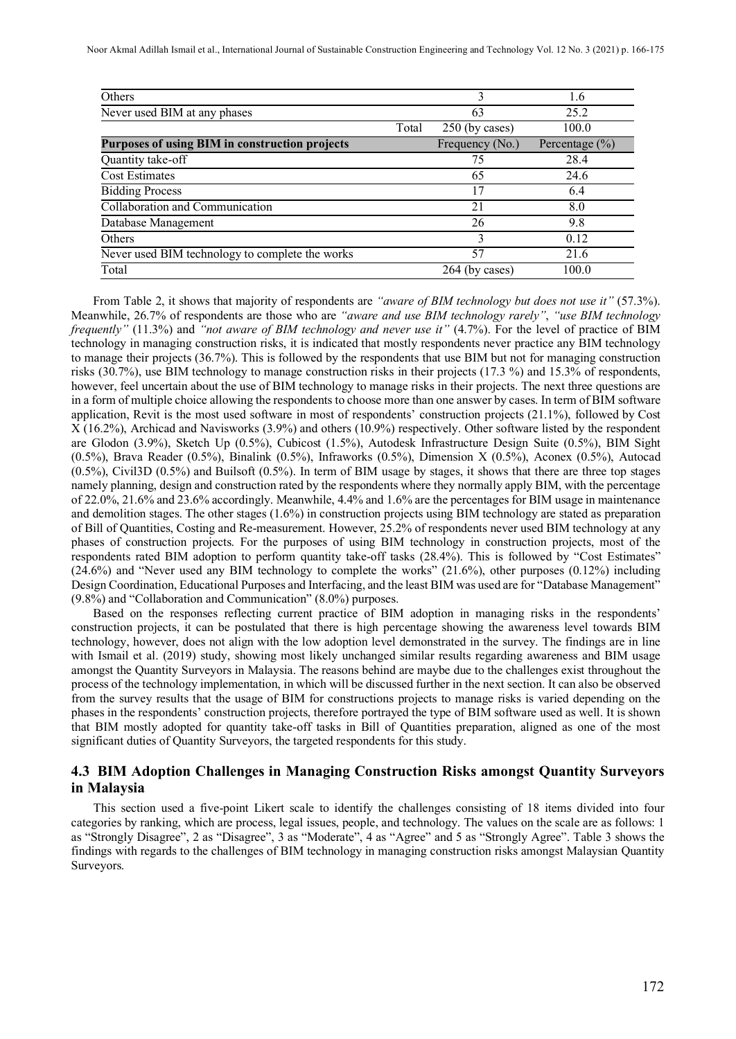Noor Akmal Adillah Ismail et al., International Journal of Sustainable Construction Engineering and Technology Vol. 12 No. 3 (2021) p. 166-175

| Others                                          |       |                 | 1.6                |
|-------------------------------------------------|-------|-----------------|--------------------|
| Never used BIM at any phases                    |       | 63              | 25.2               |
|                                                 | Total | 250 (by cases)  | 100.0              |
| Purposes of using BIM in construction projects  |       | Frequency (No.) | Percentage $(\% )$ |
| Quantity take-off                               |       | 75              | 28.4               |
| <b>Cost Estimates</b>                           |       | 65              | 24.6               |
| <b>Bidding Process</b>                          |       | 17              | 6.4                |
| Collaboration and Communication                 |       | 21              | 8.0                |
| Database Management                             |       | 26              | 9.8                |
| Others                                          |       | 3               | 0.12               |
| Never used BIM technology to complete the works |       | 57              | 21.6               |
| Total                                           |       | 264 (by cases)  | 100.0              |

From Table 2, it shows that majority of respondents are *"aware of BIM technology but does not use it"* (57.3%). Meanwhile, 26.7% of respondents are those who are *"aware and use BIM technology rarely"*, *"use BIM technology frequently"* (11.3%) and *"not aware of BIM technology and never use it"* (4.7%). For the level of practice of BIM technology in managing construction risks, it is indicated that mostly respondents never practice any BIM technology to manage their projects (36.7%). This is followed by the respondents that use BIM but not for managing construction risks (30.7%), use BIM technology to manage construction risks in their projects (17.3 %) and 15.3% of respondents, however, feel uncertain about the use of BIM technology to manage risks in their projects. The next three questions are in a form of multiple choice allowing the respondents to choose more than one answer by cases. In term of BIM software application, Revit is the most used software in most of respondents' construction projects (21.1%), followed by Cost X (16.2%), Archicad and Navisworks (3.9%) and others (10.9%) respectively. Other software listed by the respondent are Glodon (3.9%), Sketch Up (0.5%), Cubicost (1.5%), Autodesk Infrastructure Design Suite (0.5%), BIM Sight (0.5%), Brava Reader (0.5%), Binalink (0.5%), Infraworks (0.5%), Dimension X (0.5%), Aconex (0.5%), Autocad  $(0.5\%)$ , Civil3D  $(0.5\%)$  and Builsoft  $(0.5\%)$ . In term of BIM usage by stages, it shows that there are three top stages namely planning, design and construction rated by the respondents where they normally apply BIM, with the percentage of 22.0%, 21.6% and 23.6% accordingly. Meanwhile, 4.4% and 1.6% are the percentages for BIM usage in maintenance and demolition stages. The other stages (1.6%) in construction projects using BIM technology are stated as preparation of Bill of Quantities, Costing and Re-measurement. However, 25.2% of respondents never used BIM technology at any phases of construction projects. For the purposes of using BIM technology in construction projects, most of the respondents rated BIM adoption to perform quantity take-off tasks (28.4%). This is followed by "Cost Estimates" (24.6%) and "Never used any BIM technology to complete the works" (21.6%), other purposes (0.12%) including Design Coordination, Educational Purposes and Interfacing, and the least BIM was used are for "Database Management" (9.8%) and "Collaboration and Communication" (8.0%) purposes.

Based on the responses reflecting current practice of BIM adoption in managing risks in the respondents' construction projects, it can be postulated that there is high percentage showing the awareness level towards BIM technology, however, does not align with the low adoption level demonstrated in the survey. The findings are in line with Ismail et al. (2019) study, showing most likely unchanged similar results regarding awareness and BIM usage amongst the Quantity Surveyors in Malaysia. The reasons behind are maybe due to the challenges exist throughout the process of the technology implementation, in which will be discussed further in the next section. It can also be observed from the survey results that the usage of BIM for constructions projects to manage risks is varied depending on the phases in the respondents' construction projects, therefore portrayed the type of BIM software used as well. It is shown that BIM mostly adopted for quantity take-off tasks in Bill of Quantities preparation, aligned as one of the most significant duties of Quantity Surveyors, the targeted respondents for this study.

#### **4.3 BIM Adoption Challenges in Managing Construction Risks amongst Quantity Surveyors in Malaysia**

This section used a five-point Likert scale to identify the challenges consisting of 18 items divided into four categories by ranking, which are process, legal issues, people, and technology. The values on the scale are as follows: 1 as "Strongly Disagree", 2 as "Disagree", 3 as "Moderate", 4 as "Agree" and 5 as "Strongly Agree". Table 3 shows the findings with regards to the challenges of BIM technology in managing construction risks amongst Malaysian Quantity Surveyors.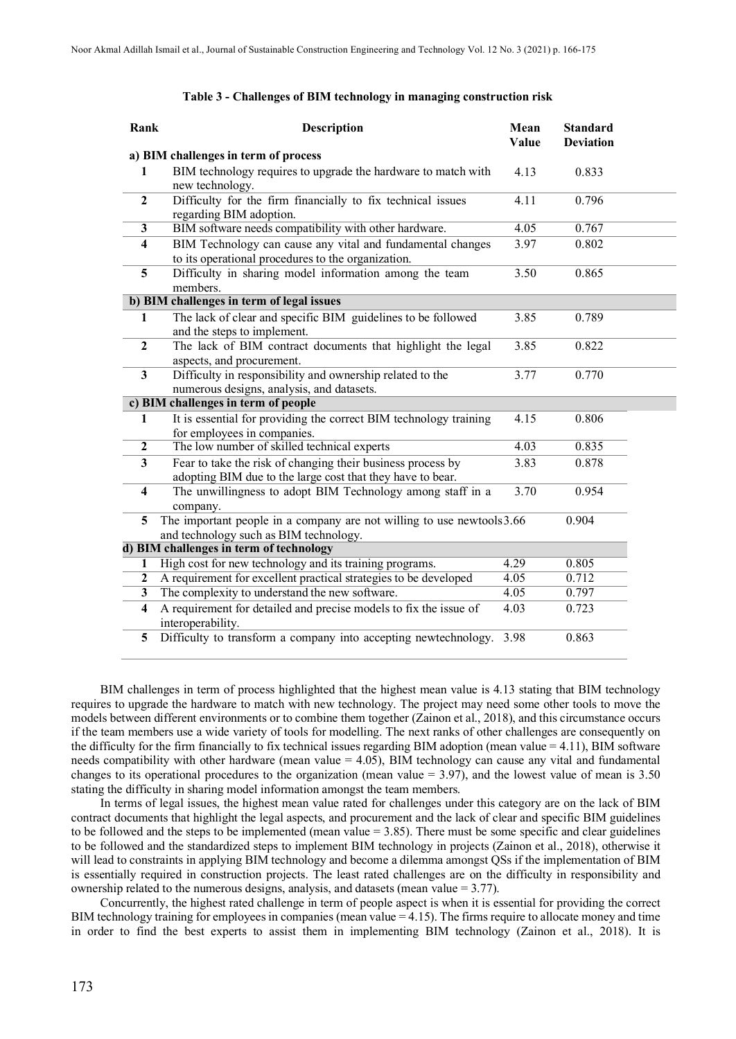| Rank                    | <b>Description</b>                                                                                                        | Mean<br>Value | <b>Standard</b><br><b>Deviation</b> |  |
|-------------------------|---------------------------------------------------------------------------------------------------------------------------|---------------|-------------------------------------|--|
|                         | a) BIM challenges in term of process                                                                                      |               |                                     |  |
| 1                       | BIM technology requires to upgrade the hardware to match with<br>new technology.                                          | 4.13          | 0.833                               |  |
| $\mathbf{2}$            | Difficulty for the firm financially to fix technical issues<br>regarding BIM adoption.                                    | 4.11          | 0.796                               |  |
| 3                       | BIM software needs compatibility with other hardware.                                                                     | 4.05          | 0.767                               |  |
| 4                       | BIM Technology can cause any vital and fundamental changes<br>to its operational procedures to the organization.          | 3.97          | 0.802                               |  |
| 5                       | Difficulty in sharing model information among the team<br>members.                                                        | 3.50          | 0.865                               |  |
|                         | b) BIM challenges in term of legal issues                                                                                 |               |                                     |  |
| 1                       | The lack of clear and specific BIM guidelines to be followed<br>and the steps to implement.                               | 3.85          | 0.789                               |  |
| $\overline{2}$          | The lack of BIM contract documents that highlight the legal<br>aspects, and procurement.                                  | 3.85          | 0.822                               |  |
| 3                       | Difficulty in responsibility and ownership related to the<br>numerous designs, analysis, and datasets.                    | 3.77          | 0.770                               |  |
|                         | c) BIM challenges in term of people                                                                                       |               |                                     |  |
| 1                       | It is essential for providing the correct BIM technology training<br>for employees in companies.                          | 4.15          | 0.806                               |  |
| $\boldsymbol{2}$        | The low number of skilled technical experts                                                                               | 4.03          | 0.835                               |  |
| $\mathbf{3}$            | Fear to take the risk of changing their business process by<br>adopting BIM due to the large cost that they have to bear. | 3.83          | 0.878                               |  |
| $\overline{\mathbf{4}}$ | The unwillingness to adopt BIM Technology among staff in a<br>company.                                                    | 3.70          | 0.954                               |  |
| 5                       | The important people in a company are not willing to use newtools 3.66<br>and technology such as BIM technology.          |               | 0.904                               |  |
|                         | d) BIM challenges in term of technology                                                                                   |               |                                     |  |
| 1                       | High cost for new technology and its training programs.                                                                   | 4.29          | 0.805                               |  |
| $\mathbf{2}$            | A requirement for excellent practical strategies to be developed                                                          | 4.05          | 0.712                               |  |
| 3                       | The complexity to understand the new software.                                                                            | 4.05          | 0.797                               |  |
| $\overline{\mathbf{4}}$ | A requirement for detailed and precise models to fix the issue of<br>interoperability.                                    | 4.03          | 0.723                               |  |
| 5                       | Difficulty to transform a company into accepting newtechnology.                                                           | 3.98          | 0.863                               |  |

#### **Table 3 - Challenges of BIM technology in managing construction risk**

BIM challenges in term of process highlighted that the highest mean value is 4.13 stating that BIM technology requires to upgrade the hardware to match with new technology. The project may need some other tools to move the models between different environments or to combine them together (Zainon et al., 2018), and this circumstance occurs if the team members use a wide variety of tools for modelling. The next ranks of other challenges are consequently on the difficulty for the firm financially to fix technical issues regarding BIM adoption (mean value = 4.11), BIM software needs compatibility with other hardware (mean value = 4.05), BIM technology can cause any vital and fundamental changes to its operational procedures to the organization (mean value = 3.97), and the lowest value of mean is 3.50 stating the difficulty in sharing model information amongst the team members.

In terms of legal issues, the highest mean value rated for challenges under this category are on the lack of BIM contract documents that highlight the legal aspects, and procurement and the lack of clear and specific BIM guidelines to be followed and the steps to be implemented (mean value = 3.85). There must be some specific and clear guidelines to be followed and the standardized steps to implement BIM technology in projects (Zainon et al., 2018), otherwise it will lead to constraints in applying BIM technology and become a dilemma amongst QSs if the implementation of BIM is essentially required in construction projects. The least rated challenges are on the difficulty in responsibility and ownership related to the numerous designs, analysis, and datasets (mean value = 3.77).

Concurrently, the highest rated challenge in term of people aspect is when it is essential for providing the correct BIM technology training for employees in companies (mean value = 4.15). The firms require to allocate money and time in order to find the best experts to assist them in implementing BIM technology (Zainon et al., 2018). It is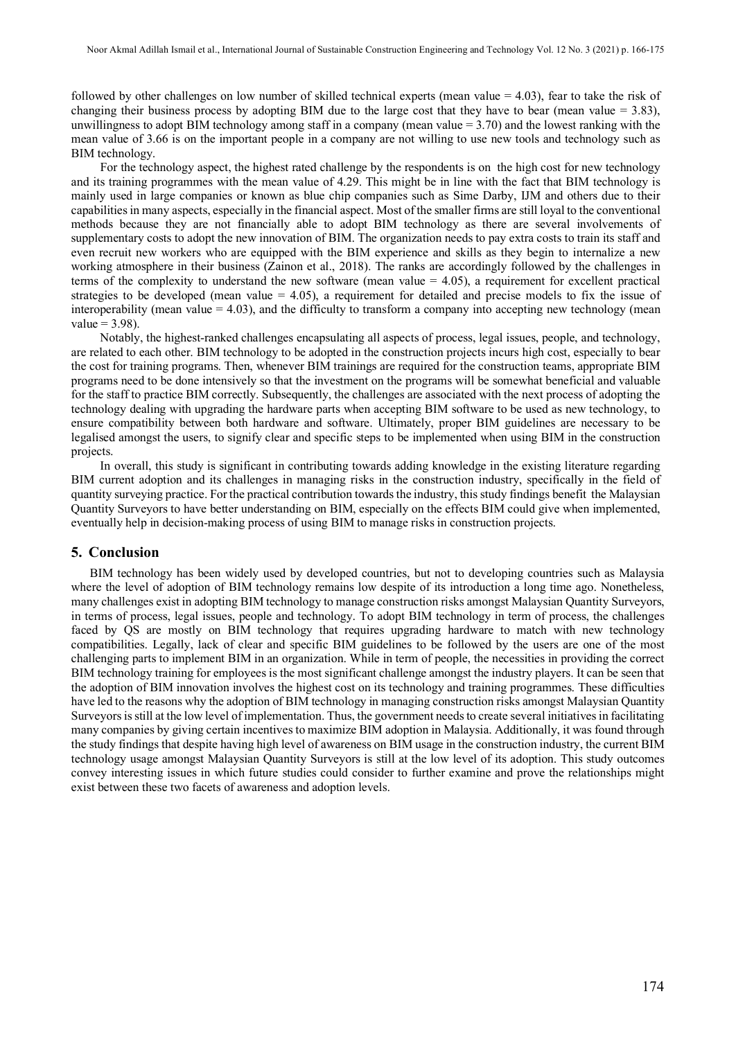followed by other challenges on low number of skilled technical experts (mean value = 4.03), fear to take the risk of changing their business process by adopting BIM due to the large cost that they have to bear (mean value  $= 3.83$ ), unwillingness to adopt BIM technology among staff in a company (mean value  $= 3.70$ ) and the lowest ranking with the mean value of 3.66 is on the important people in a company are not willing to use new tools and technology such as BIM technology.

For the technology aspect, the highest rated challenge by the respondents is on the high cost for new technology and its training programmes with the mean value of 4.29. This might be in line with the fact that BIM technology is mainly used in large companies or known as blue chip companies such as Sime Darby, IJM and others due to their capabilitiesin many aspects, especially in the financial aspect. Most of the smaller firms are still loyal to the conventional methods because they are not financially able to adopt BIM technology as there are several involvements of supplementary costs to adopt the new innovation of BIM. The organization needs to pay extra costs to train its staff and even recruit new workers who are equipped with the BIM experience and skills as they begin to internalize a new working atmosphere in their business (Zainon et al., 2018). The ranks are accordingly followed by the challenges in terms of the complexity to understand the new software (mean value  $= 4.05$ ), a requirement for excellent practical strategies to be developed (mean value  $= 4.05$ ), a requirement for detailed and precise models to fix the issue of interoperability (mean value  $= 4.03$ ), and the difficulty to transform a company into accepting new technology (mean value  $= 3.98$ ).

Notably, the highest-ranked challenges encapsulating all aspects of process, legal issues, people, and technology, are related to each other. BIM technology to be adopted in the construction projects incurs high cost, especially to bear the cost for training programs. Then, whenever BIM trainings are required for the construction teams, appropriate BIM programs need to be done intensively so that the investment on the programs will be somewhat beneficial and valuable for the staff to practice BIM correctly. Subsequently, the challenges are associated with the next process of adopting the technology dealing with upgrading the hardware parts when accepting BIM software to be used as new technology, to ensure compatibility between both hardware and software. Ultimately, proper BIM guidelines are necessary to be legalised amongst the users, to signify clear and specific steps to be implemented when using BIM in the construction projects.

In overall, this study is significant in contributing towards adding knowledge in the existing literature regarding BIM current adoption and its challenges in managing risks in the construction industry, specifically in the field of quantity surveying practice. For the practical contribution towards the industry, this study findings benefit the Malaysian Quantity Surveyors to have better understanding on BIM, especially on the effects BIM could give when implemented, eventually help in decision-making process of using BIM to manage risks in construction projects.

#### **5. Conclusion**

 BIM technology has been widely used by developed countries, but not to developing countries such as Malaysia where the level of adoption of BIM technology remains low despite of its introduction a long time ago. Nonetheless, many challenges exist in adopting BIM technology to manage construction risks amongst Malaysian Quantity Surveyors, in terms of process, legal issues, people and technology. To adopt BIM technology in term of process, the challenges faced by QS are mostly on BIM technology that requires upgrading hardware to match with new technology compatibilities. Legally, lack of clear and specific BIM guidelines to be followed by the users are one of the most challenging parts to implement BIM in an organization. While in term of people, the necessities in providing the correct BIM technology training for employees is the most significant challenge amongst the industry players. It can be seen that the adoption of BIM innovation involves the highest cost on its technology and training programmes. These difficulties have led to the reasons why the adoption of BIM technology in managing construction risks amongst Malaysian Quantity Surveyors is still at the low level of implementation. Thus, the government needs to create several initiatives in facilitating many companies by giving certain incentives to maximize BIM adoption in Malaysia. Additionally, it was found through the study findings that despite having high level of awareness on BIM usage in the construction industry, the current BIM technology usage amongst Malaysian Quantity Surveyors is still at the low level of its adoption. This study outcomes convey interesting issues in which future studies could consider to further examine and prove the relationships might exist between these two facets of awareness and adoption levels.